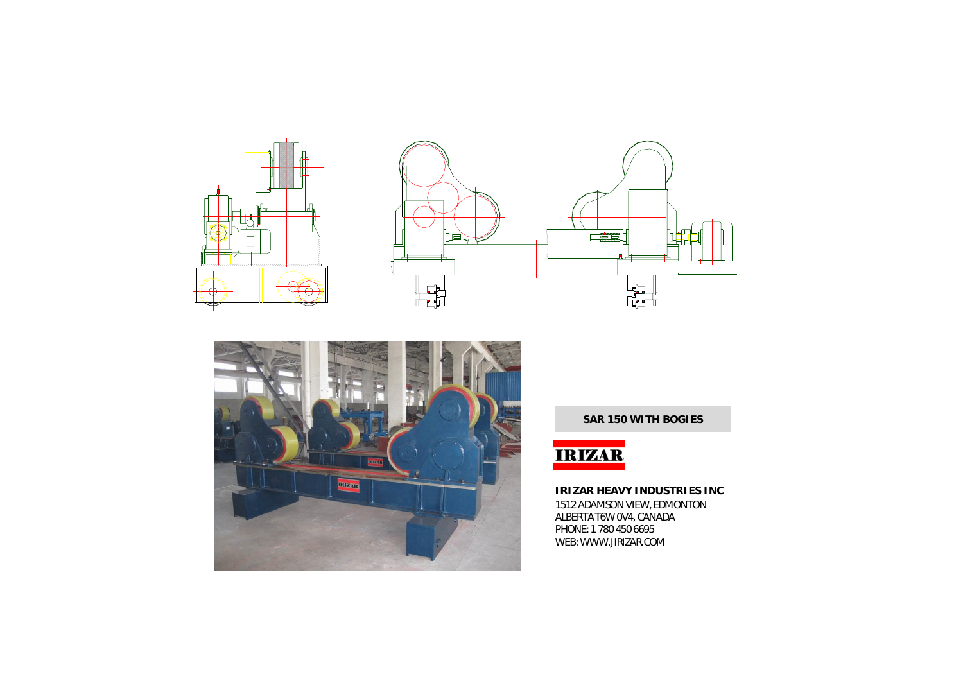





**SAR 150 WITH BOGIES**



**IRIZAR HEAVY INDUSTRIES INC** 1512 ADAMSON VIEW, EDMONTON ALBERTA T6W 0V4, CANADA PHONE: 1 780 450 6695 WEB: WWW.JIRIZAR.COM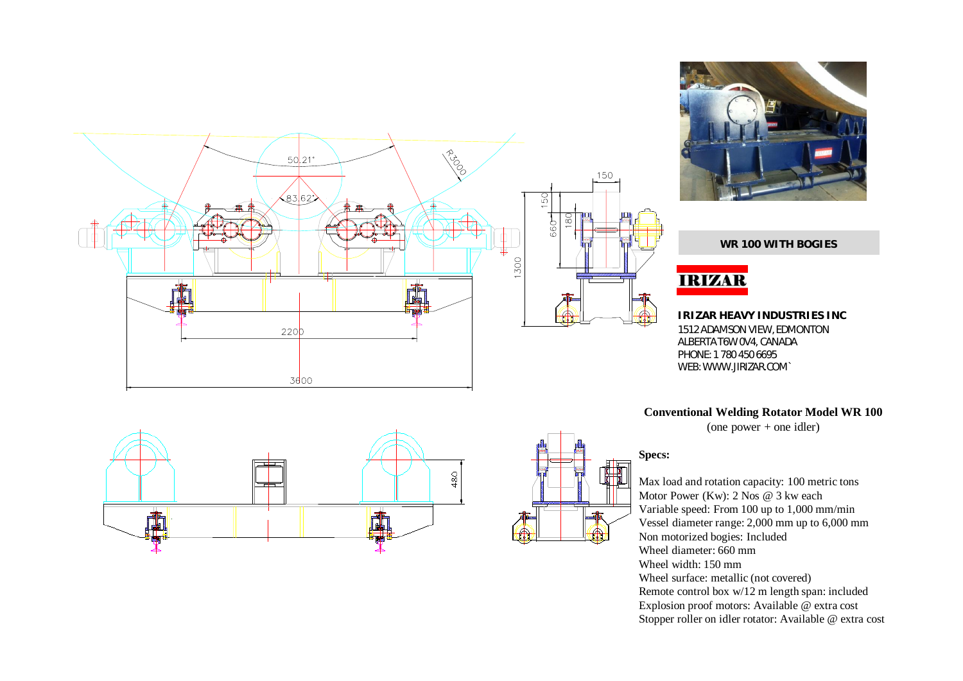



**WR 100 WITH BOGIES**

# **IRIZAR**

**IRIZAR HEAVY INDUSTRIES INC** 1512 ADAMSON VIEW, EDMONTON ALBERTA T6W 0V4, CANADA PHONE: 1 780 450 6695 WEB: WWW.JIRIZAR.COM`

**Conventional Welding Rotator Model WR 100**

(one power + one idler)

### **Specs:**

Max load and rotation capacity: 100 metric tons Motor Power (Kw): 2 Nos @ 3 kw each Variable speed: From 100 up to 1,000 mm/min Vessel diameter range: 2,000 mm up to 6,000 mm Non motorized bogies: Included Wheel diameter: 660 mm Wheel width: 150 mm Wheel surface: metallic (not covered) Remote control box w/12 m length span: included Explosion proof motors: Available @ extra cost Stopper roller on idler rotator: Available @ extra cost



酾